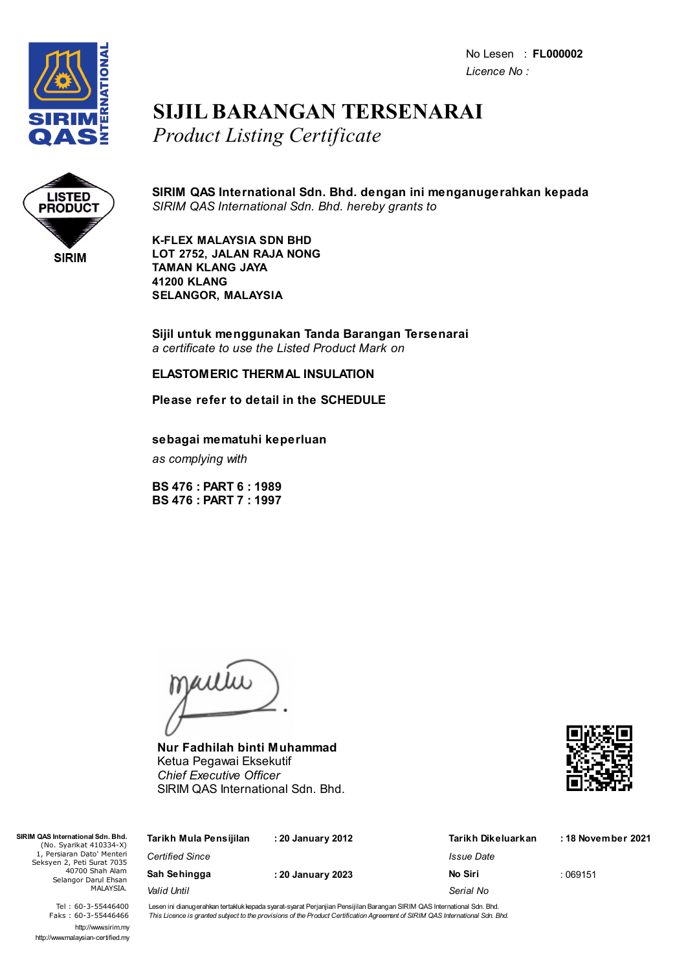No Lesen : **FL000002** *Licence No :*



## **SIJIL BARANGAN TERSENARAI** *Product Listing Certificate*



**SIRIM QAS International Sdn. Bhd. dengan ini menganugerahkan kepada** *SIRIM QAS International Sdn. Bhd. hereby grants to*

**K-FLEX MALAYSIA SDN BHD LOT 2752, JALAN RAJA NONG TAMAN KLANG JAYA 41200 KLANG SELANGOR, MALAYSIA**

**Sijil untuk menggunakan Tanda Barangan Tersenarai** *a certificate to use the Listed Product Mark on*

## **ELASTOMERIC THERMAL INSULATION**

**Please refer to detail in the SCHEDULE**

**sebagai mematuhi keperluan**

*as complying with*

**BS 476 : PART 6 : 1989 BS 476 : PART 7 : 1997**

jailie

**Nur Fadhilah binti Muhammad** Ketua Pegawai Eksekutif *Chief Executive Officer* SIRIM QAS International Sdn. Bhd.



| Tarikh Mula Pensijilan | : 20 January 2012 | Tarikh Dikeluarkan | : 18 November 2021 |
|------------------------|-------------------|--------------------|--------------------|
| <b>Certified Since</b> |                   | Issue Date         |                    |
| Sah Sehingga           | : 20 January 2023 | No Siri            | :069151            |
| Valid Until            |                   | Serial No          |                    |
|                        |                   |                    |                    |

Tel : 60-3-55446400 Faks : 60-3-55446466 http://www.sirim.my http://www.malaysian-certified.my

 $SIRIMO$ 

Lesen ini dianugerahkan tertakluk kepada syarat-syarat Perjanjian Pensijilan Barangan SIRIM QAS International Sdn. Bhd. This Licence is granted subject to the provisions of the Product Certification Agreement of SIRIM QAS International Sdn. Bhd.